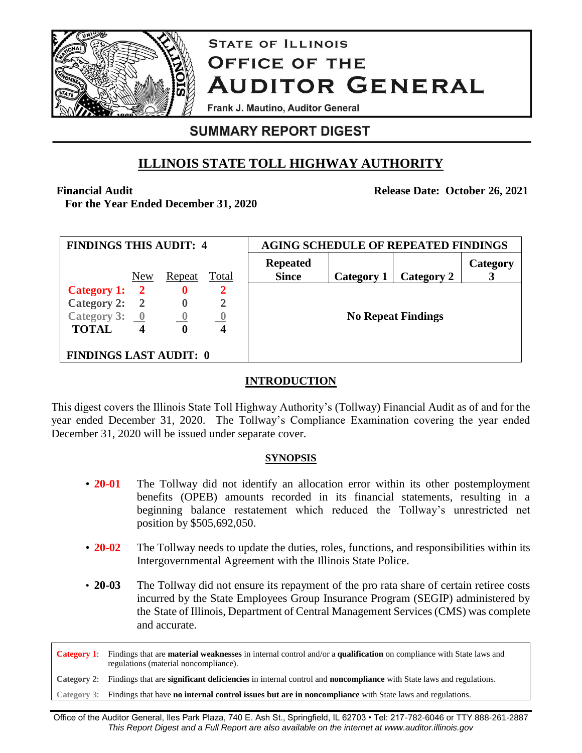

# **STATE OF ILLINOIS OFFICE OF THE AUDITOR GENERAL**

Frank J. Mautino, Auditor General

# **SUMMARY REPORT DIGEST**

# **ILLINOIS STATE TOLL HIGHWAY AUTHORITY**

**Financial Audit**

**For the Year Ended December 31, 2020**

**Release Date: October 26, 2021**

| <b>FINDINGS THIS AUDIT: 4</b>            |     |             |       | <b>AGING SCHEDULE OF REPEATED FINDINGS</b> |            |            |          |
|------------------------------------------|-----|-------------|-------|--------------------------------------------|------------|------------|----------|
|                                          | New | Repeat      | Total | <b>Repeated</b><br><b>Since</b>            | Category 1 | Category 2 | Category |
| Category 1: 2                            |     | $\mathbf 0$ | 2     |                                            |            |            |          |
| Category 2: 2                            |     | $\bf{0}$    | 2     |                                            |            |            |          |
| Category 3: $\underline{\qquad \qquad }$ |     | $\theta$    |       | <b>No Repeat Findings</b>                  |            |            |          |
| <b>TOTAL</b>                             |     | 0           | 4     |                                            |            |            |          |
| <b>FINDINGS LAST AUDIT: 0</b>            |     |             |       |                                            |            |            |          |

# **INTRODUCTION**

This digest covers the Illinois State Toll Highway Authority's (Tollway) Financial Audit as of and for the year ended December 31, 2020. The Tollway's Compliance Examination covering the year ended December 31, 2020 will be issued under separate cover.

# **SYNOPSIS**

- **20-01** The Tollway did not identify an allocation error within its other postemployment benefits (OPEB) amounts recorded in its financial statements, resulting in a beginning balance restatement which reduced the Tollway's unrestricted net position by \$505,692,050.
- **20-02** The Tollway needs to update the duties, roles, functions, and responsibilities within its Intergovernmental Agreement with the Illinois State Police.
- **20-03** The Tollway did not ensure its repayment of the pro rata share of certain retiree costs incurred by the State Employees Group Insurance Program (SEGIP) administered by the State of Illinois, Department of Central Management Services (CMS) was complete and accurate.

**Category 1**: Findings that are **material weaknesses** in internal control and/or a **qualification** on compliance with State laws and regulations (material noncompliance).

**Category 2**: Findings that are **significant deficiencies** in internal control and **noncompliance** with State laws and regulations.

**Category 3**: Findings that have **no internal control issues but are in noncompliance** with State laws and regulations.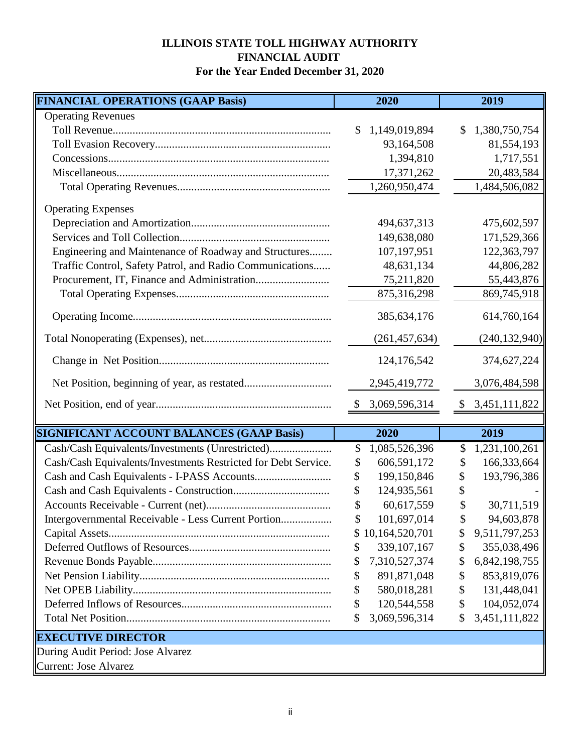# **ILLINOIS STATE TOLL HIGHWAY AUTHORITY FINANCIAL AUDIT For the Year Ended December 31, 2020**

| <b>FINANCIAL OPERATIONS (GAAP Basis)</b>                       | 2020                 | 2019                           |
|----------------------------------------------------------------|----------------------|--------------------------------|
| <b>Operating Revenues</b>                                      |                      |                                |
|                                                                | 1,149,019,894        | 1,380,750,754<br>\$            |
|                                                                | 93,164,508           | 81,554,193                     |
|                                                                | 1,394,810            | 1,717,551                      |
|                                                                | 17,371,262           | 20,483,584                     |
|                                                                | 1,260,950,474        | 1,484,506,082                  |
| <b>Operating Expenses</b>                                      |                      |                                |
|                                                                | 494,637,313          | 475,602,597                    |
|                                                                | 149,638,080          | 171,529,366                    |
|                                                                |                      |                                |
| Engineering and Maintenance of Roadway and Structures          | 107,197,951          | 122,363,797                    |
| Traffic Control, Safety Patrol, and Radio Communications       | 48,631,134           | 44,806,282                     |
|                                                                | 75,211,820           | 55,443,876                     |
|                                                                | 875,316,298          | 869,745,918                    |
|                                                                | 385, 634, 176        | 614,760,164                    |
|                                                                | (261, 457, 634)      | (240, 132, 940)                |
|                                                                | 124, 176, 542        | 374,627,224                    |
|                                                                | 2,945,419,772        | 3,076,484,598                  |
|                                                                | 3,069,596,314<br>- S | 3,451,111,822<br>$\mathcal{L}$ |
|                                                                |                      |                                |
| <b>SIGNIFICANT ACCOUNT BALANCES (GAAP Basis)</b>               | 2020                 | 2019                           |
| Cash/Cash Equivalents/Investments (Unrestricted)               | 1,085,526,396<br>\$  | 1,231,100,261<br>\$            |
| Cash/Cash Equivalents/Investments Restricted for Debt Service. | 606,591,172<br>\$    | 166,333,664<br>\$              |
|                                                                | \$<br>199,150,846    | 193,796,386                    |
|                                                                | 124,935,561          |                                |
|                                                                | \$<br>60,617,559     | 30,711,519                     |
| Intergovernmental Receivable - Less Current Portion            | 101,697,014<br>\$    | 94,603,878<br>\$               |
|                                                                | 10,164,520,701       | 9,511,797,253<br>\$            |
|                                                                | 339, 107, 167<br>\$  | \$<br>355,038,496              |
|                                                                | 7,310,527,374<br>\$  | 6,842,198,755<br>\$            |
|                                                                | \$<br>891,871,048    | 853,819,076<br>\$              |
|                                                                | \$<br>580,018,281    | \$<br>131,448,041              |
|                                                                | \$<br>120,544,558    | 104,052,074<br>\$              |
|                                                                | 3,069,596,314<br>\$  | 3,451,111,822<br>\$            |
| <b>EXECUTIVE DIRECTOR</b>                                      |                      |                                |
| During Audit Period: Jose Alvarez                              |                      |                                |
| Current: Jose Alvarez                                          |                      |                                |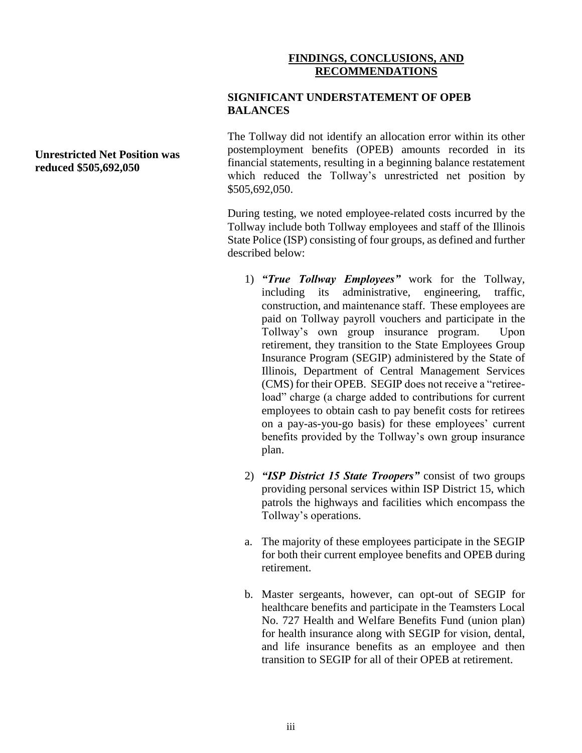### **FINDINGS, CONCLUSIONS, AND RECOMMENDATIONS**

#### **SIGNIFICANT UNDERSTATEMENT OF OPEB BALANCES**

The Tollway did not identify an allocation error within its other postemployment benefits (OPEB) amounts recorded in its financial statements, resulting in a beginning balance restatement which reduced the Tollway's unrestricted net position by \$505,692,050.

During testing, we noted employee-related costs incurred by the Tollway include both Tollway employees and staff of the Illinois State Police (ISP) consisting of four groups, as defined and further described below:

- 1) *"True Tollway Employees"* work for the Tollway, including its administrative, engineering, traffic, construction, and maintenance staff. These employees are paid on Tollway payroll vouchers and participate in the Tollway's own group insurance program. Upon retirement, they transition to the State Employees Group Insurance Program (SEGIP) administered by the State of Illinois, Department of Central Management Services (CMS) for their OPEB. SEGIP does not receive a "retireeload" charge (a charge added to contributions for current employees to obtain cash to pay benefit costs for retirees on a pay-as-you-go basis) for these employees' current benefits provided by the Tollway's own group insurance plan.
- 2) *"ISP District 15 State Troopers"* consist of two groups providing personal services within ISP District 15, which patrols the highways and facilities which encompass the Tollway's operations.
- a. The majority of these employees participate in the SEGIP for both their current employee benefits and OPEB during retirement.
- b. Master sergeants, however, can opt-out of SEGIP for healthcare benefits and participate in the Teamsters Local No. 727 Health and Welfare Benefits Fund (union plan) for health insurance along with SEGIP for vision, dental, and life insurance benefits as an employee and then transition to SEGIP for all of their OPEB at retirement.

**Unrestricted Net Position was reduced \$505,692,050**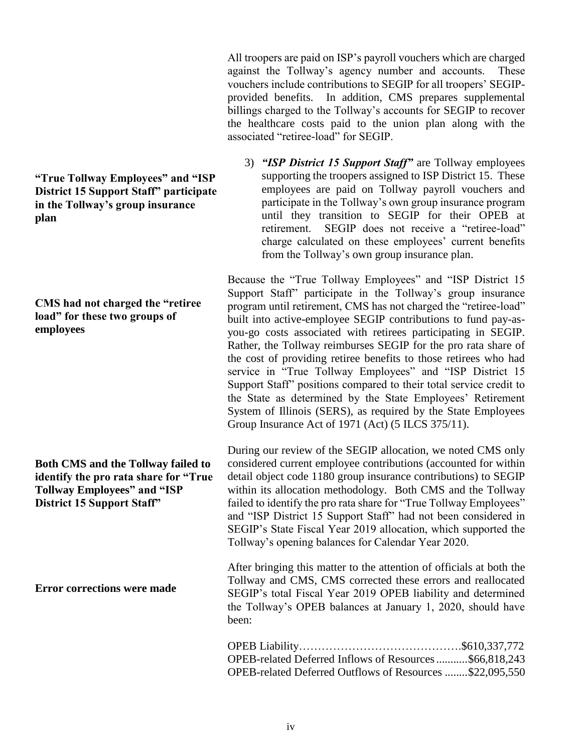All troopers are paid on ISP's payroll vouchers which are charged against the Tollway's agency number and accounts. These vouchers include contributions to SEGIP for all troopers' SEGIPprovided benefits. In addition, CMS prepares supplemental billings charged to the Tollway's accounts for SEGIP to recover the healthcare costs paid to the union plan along with the associated "retiree-load" for SEGIP.

3) *"ISP District 15 Support Staff"* are Tollway employees supporting the troopers assigned to ISP District 15. These employees are paid on Tollway payroll vouchers and participate in the Tollway's own group insurance program until they transition to SEGIP for their OPEB at retirement. SEGIP does not receive a "retiree-load" charge calculated on these employees' current benefits from the Tollway's own group insurance plan.

Because the "True Tollway Employees" and "ISP District 15 Support Staff" participate in the Tollway's group insurance program until retirement, CMS has not charged the "retiree-load" built into active-employee SEGIP contributions to fund pay-asyou-go costs associated with retirees participating in SEGIP. Rather, the Tollway reimburses SEGIP for the pro rata share of the cost of providing retiree benefits to those retirees who had service in "True Tollway Employees" and "ISP District 15 Support Staff" positions compared to their total service credit to the State as determined by the State Employees' Retirement System of Illinois (SERS), as required by the State Employees Group Insurance Act of 1971 (Act) (5 ILCS 375/11).

During our review of the SEGIP allocation, we noted CMS only considered current employee contributions (accounted for within detail object code 1180 group insurance contributions) to SEGIP within its allocation methodology. Both CMS and the Tollway failed to identify the pro rata share for "True Tollway Employees" and "ISP District 15 Support Staff" had not been considered in SEGIP's State Fiscal Year 2019 allocation, which supported the Tollway's opening balances for Calendar Year 2020.

After bringing this matter to the attention of officials at both the Tollway and CMS, CMS corrected these errors and reallocated SEGIP's total Fiscal Year 2019 OPEB liability and determined the Tollway's OPEB balances at January 1, 2020, should have been:

| OPEB-related Deferred Inflows of Resources\$66,818,243   |  |
|----------------------------------------------------------|--|
| OPEB-related Deferred Outflows of Resources \$22,095,550 |  |

**"True Tollway Employees" and "ISP District 15 Support Staff" participate in the Tollway's group insurance plan**

## **CMS had not charged the "retiree load" for these two groups of employees**

**Both CMS and the Tollway failed to identify the pro rata share for "True Tollway Employees" and "ISP District 15 Support Staff"**

**Error corrections were made**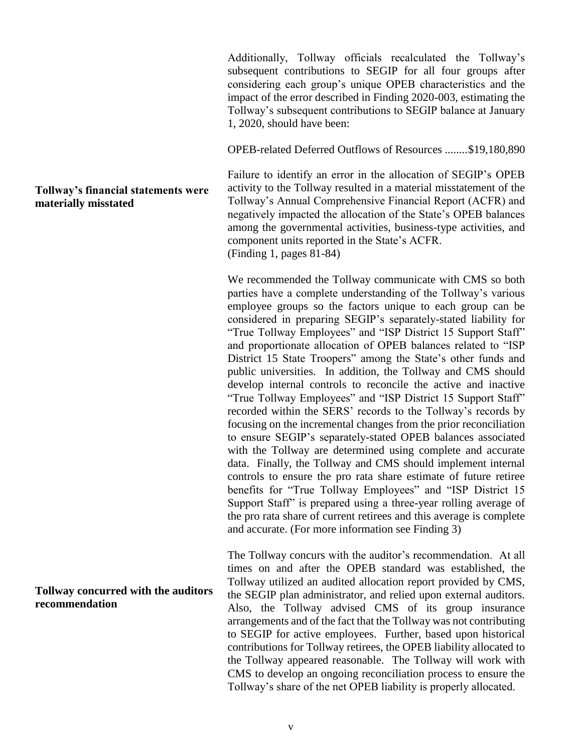Additionally, Tollway officials recalculated the Tollway's subsequent contributions to SEGIP for all four groups after considering each group's unique OPEB characteristics and the impact of the error described in Finding 2020-003, estimating the Tollway's subsequent contributions to SEGIP balance at January 1, 2020, should have been:

OPEB-related Deferred Outflows of Resources ........\$19,180,890

Failure to identify an error in the allocation of SEGIP's OPEB activity to the Tollway resulted in a material misstatement of the Tollway's Annual Comprehensive Financial Report (ACFR) and negatively impacted the allocation of the State's OPEB balances among the governmental activities, business-type activities, and component units reported in the State's ACFR. (Finding 1, pages 81-84)

We recommended the Tollway communicate with CMS so both parties have a complete understanding of the Tollway's various employee groups so the factors unique to each group can be considered in preparing SEGIP's separately-stated liability for "True Tollway Employees" and "ISP District 15 Support Staff" and proportionate allocation of OPEB balances related to "ISP District 15 State Troopers" among the State's other funds and public universities. In addition, the Tollway and CMS should develop internal controls to reconcile the active and inactive "True Tollway Employees" and "ISP District 15 Support Staff" recorded within the SERS' records to the Tollway's records by focusing on the incremental changes from the prior reconciliation to ensure SEGIP's separately-stated OPEB balances associated with the Tollway are determined using complete and accurate data. Finally, the Tollway and CMS should implement internal controls to ensure the pro rata share estimate of future retiree benefits for "True Tollway Employees" and "ISP District 15 Support Staff" is prepared using a three-year rolling average of the pro rata share of current retirees and this average is complete and accurate. (For more information see Finding 3)

The Tollway concurs with the auditor's recommendation. At all times on and after the OPEB standard was established, the Tollway utilized an audited allocation report provided by CMS, the SEGIP plan administrator, and relied upon external auditors. Also, the Tollway advised CMS of its group insurance arrangements and of the fact that the Tollway was not contributing to SEGIP for active employees. Further, based upon historical contributions for Tollway retirees, the OPEB liability allocated to the Tollway appeared reasonable. The Tollway will work with CMS to develop an ongoing reconciliation process to ensure the Tollway's share of the net OPEB liability is properly allocated.

# **Tollway's financial statements were materially misstated**

#### **Tollway concurred with the auditors recommendation**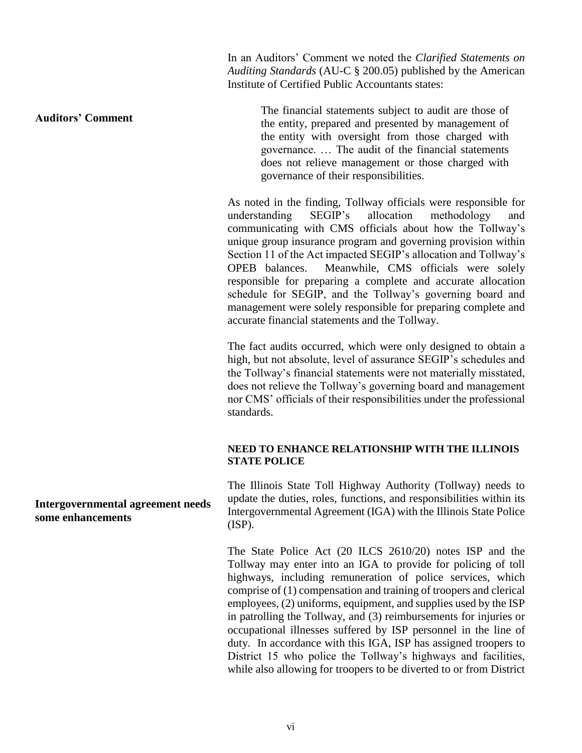In an Auditors' Comment we noted the *Clarified Statements on Auditing Standards* (AU-C § 200.05) published by the American Institute of Certified Public Accountants states:

**Auditors' Comment**

The financial statements subject to audit are those of the entity, prepared and presented by management of the entity with oversight from those charged with governance. … The audit of the financial statements does not relieve management or those charged with governance of their responsibilities.

As noted in the finding, Tollway officials were responsible for understanding SEGIP's allocation methodology and communicating with CMS officials about how the Tollway's unique group insurance program and governing provision within Section 11 of the Act impacted SEGIP's allocation and Tollway's OPEB balances. Meanwhile, CMS officials were solely responsible for preparing a complete and accurate allocation schedule for SEGIP, and the Tollway's governing board and management were solely responsible for preparing complete and accurate financial statements and the Tollway.

The fact audits occurred, which were only designed to obtain a high, but not absolute, level of assurance SEGIP's schedules and the Tollway's financial statements were not materially misstated, does not relieve the Tollway's governing board and management nor CMS' officials of their responsibilities under the professional standards.

#### **NEED TO ENHANCE RELATIONSHIP WITH THE ILLINOIS STATE POLICE**

The Illinois State Toll Highway Authority (Tollway) needs to update the duties, roles, functions, and responsibilities within its Intergovernmental Agreement (IGA) with the Illinois State Police (ISP).

The State Police Act (20 ILCS 2610/20) notes ISP and the Tollway may enter into an IGA to provide for policing of toll highways, including remuneration of police services, which comprise of (1) compensation and training of troopers and clerical employees, (2) uniforms, equipment, and supplies used by the ISP in patrolling the Tollway, and (3) reimbursements for injuries or occupational illnesses suffered by ISP personnel in the line of duty. In accordance with this IGA, ISP has assigned troopers to District 15 who police the Tollway's highways and facilities, while also allowing for troopers to be diverted to or from District

**Intergovernmental agreement needs some enhancements**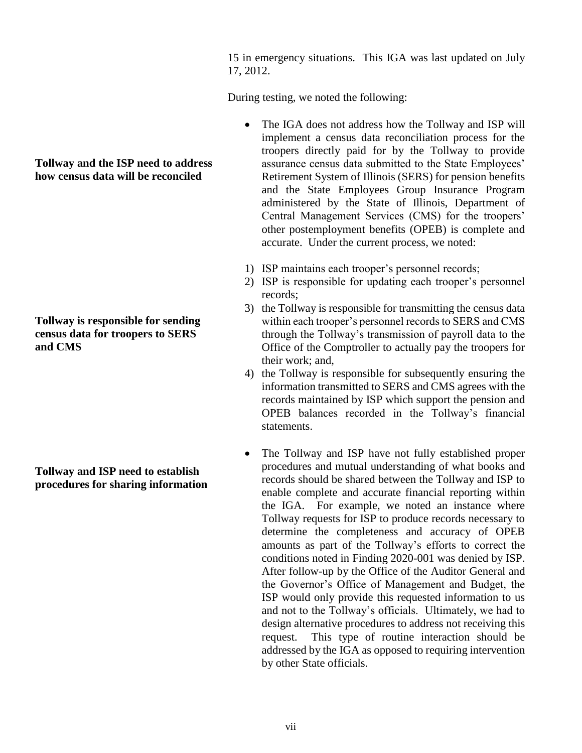15 in emergency situations. This IGA was last updated on July 17, 2012.

During testing, we noted the following:

- The IGA does not address how the Tollway and ISP will implement a census data reconciliation process for the troopers directly paid for by the Tollway to provide assurance census data submitted to the State Employees' Retirement System of Illinois (SERS) for pension benefits and the State Employees Group Insurance Program administered by the State of Illinois, Department of Central Management Services (CMS) for the troopers' other postemployment benefits (OPEB) is complete and accurate. Under the current process, we noted:
- 1) ISP maintains each trooper's personnel records;
- 2) ISP is responsible for updating each trooper's personnel records;
- 3) the Tollway is responsible for transmitting the census data within each trooper's personnel records to SERS and CMS through the Tollway's transmission of payroll data to the Office of the Comptroller to actually pay the troopers for their work; and,
- 4) the Tollway is responsible for subsequently ensuring the information transmitted to SERS and CMS agrees with the records maintained by ISP which support the pension and OPEB balances recorded in the Tollway's financial statements.
- The Tollway and ISP have not fully established proper procedures and mutual understanding of what books and records should be shared between the Tollway and ISP to enable complete and accurate financial reporting within the IGA. For example, we noted an instance where Tollway requests for ISP to produce records necessary to determine the completeness and accuracy of OPEB amounts as part of the Tollway's efforts to correct the conditions noted in Finding 2020-001 was denied by ISP. After follow-up by the Office of the Auditor General and the Governor's Office of Management and Budget, the ISP would only provide this requested information to us and not to the Tollway's officials. Ultimately, we had to design alternative procedures to address not receiving this request. This type of routine interaction should be addressed by the IGA as opposed to requiring intervention by other State officials.

## **Tollway and the ISP need to address how census data will be reconciled**

**Tollway is responsible for sending census data for troopers to SERS and CMS**

**Tollway and ISP need to establish procedures for sharing information**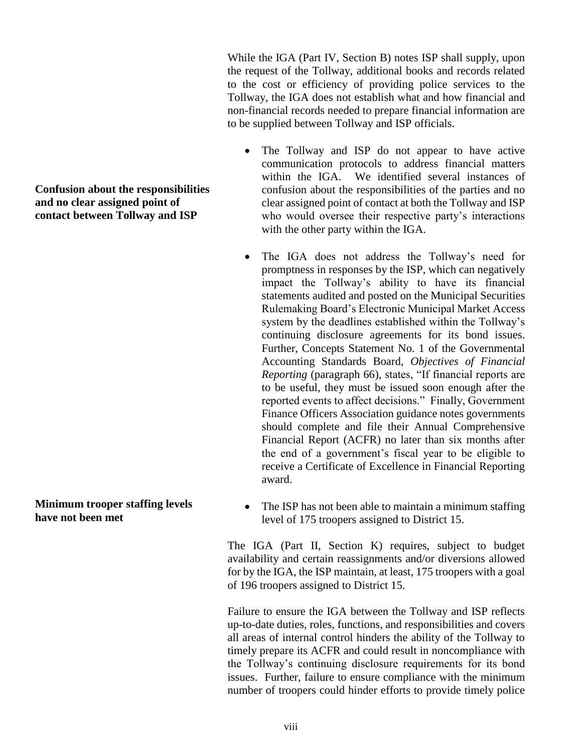While the IGA (Part IV, Section B) notes ISP shall supply, upon the request of the Tollway, additional books and records related to the cost or efficiency of providing police services to the Tollway, the IGA does not establish what and how financial and non-financial records needed to prepare financial information are to be supplied between Tollway and ISP officials.

- The Tollway and ISP do not appear to have active communication protocols to address financial matters within the IGA. We identified several instances of confusion about the responsibilities of the parties and no clear assigned point of contact at both the Tollway and ISP who would oversee their respective party's interactions with the other party within the IGA.
- The IGA does not address the Tollway's need for promptness in responses by the ISP, which can negatively impact the Tollway's ability to have its financial statements audited and posted on the Municipal Securities Rulemaking Board's Electronic Municipal Market Access system by the deadlines established within the Tollway's continuing disclosure agreements for its bond issues. Further, Concepts Statement No. 1 of the Governmental Accounting Standards Board, *Objectives of Financial Reporting* (paragraph 66), states, "If financial reports are to be useful, they must be issued soon enough after the reported events to affect decisions." Finally, Government Finance Officers Association guidance notes governments should complete and file their Annual Comprehensive Financial Report (ACFR) no later than six months after the end of a government's fiscal year to be eligible to receive a Certificate of Excellence in Financial Reporting award.
- **Minimum trooper staffing levels have not been met**
- The ISP has not been able to maintain a minimum staffing level of 175 troopers assigned to District 15.

The IGA (Part II, Section K) requires, subject to budget availability and certain reassignments and/or diversions allowed for by the IGA, the ISP maintain, at least, 175 troopers with a goal of 196 troopers assigned to District 15.

Failure to ensure the IGA between the Tollway and ISP reflects up-to-date duties, roles, functions, and responsibilities and covers all areas of internal control hinders the ability of the Tollway to timely prepare its ACFR and could result in noncompliance with the Tollway's continuing disclosure requirements for its bond issues. Further, failure to ensure compliance with the minimum number of troopers could hinder efforts to provide timely police

**Confusion about the responsibilities and no clear assigned point of contact between Tollway and ISP**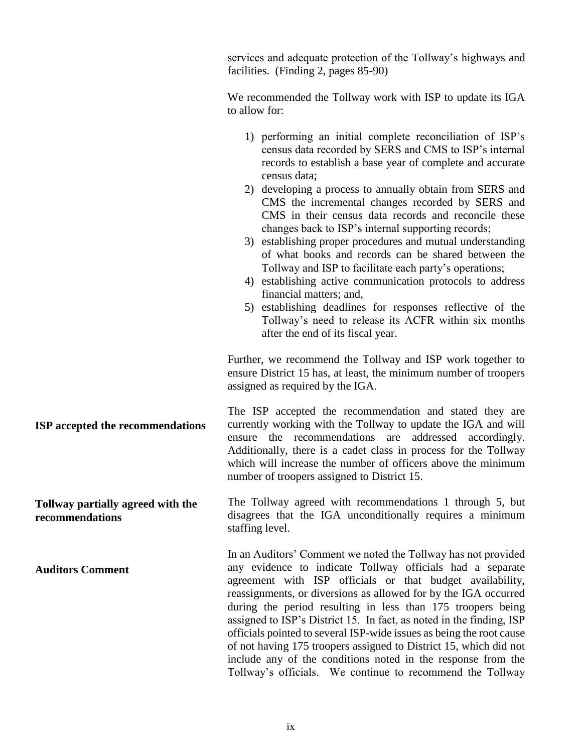services and adequate protection of the Tollway's highways and facilities. (Finding 2, pages 85-90)

We recommended the Tollway work with ISP to update its IGA to allow for:

- 1) performing an initial complete reconciliation of ISP's census data recorded by SERS and CMS to ISP's internal records to establish a base year of complete and accurate census data;
- 2) developing a process to annually obtain from SERS and CMS the incremental changes recorded by SERS and CMS in their census data records and reconcile these changes back to ISP's internal supporting records;
- 3) establishing proper procedures and mutual understanding of what books and records can be shared between the Tollway and ISP to facilitate each party's operations;
- 4) establishing active communication protocols to address financial matters; and,
- 5) establishing deadlines for responses reflective of the Tollway's need to release its ACFR within six months after the end of its fiscal year.

Further, we recommend the Tollway and ISP work together to ensure District 15 has, at least, the minimum number of troopers assigned as required by the IGA.

**ISP accepted the recommendations** The ISP accepted the recommendation and stated they are currently working with the Tollway to update the IGA and will ensure the recommendations are addressed accordingly. Additionally, there is a cadet class in process for the Tollway which will increase the number of officers above the minimum number of troopers assigned to District 15.

> The Tollway agreed with recommendations 1 through 5, but disagrees that the IGA unconditionally requires a minimum staffing level.

> > In an Auditors' Comment we noted the Tollway has not provided any evidence to indicate Tollway officials had a separate agreement with ISP officials or that budget availability, reassignments, or diversions as allowed for by the IGA occurred during the period resulting in less than 175 troopers being assigned to ISP's District 15. In fact, as noted in the finding, ISP officials pointed to several ISP-wide issues as being the root cause of not having 175 troopers assigned to District 15, which did not include any of the conditions noted in the response from the Tollway's officials. We continue to recommend the Tollway

**Tollway partially agreed with the recommendations**

**Auditors Comment**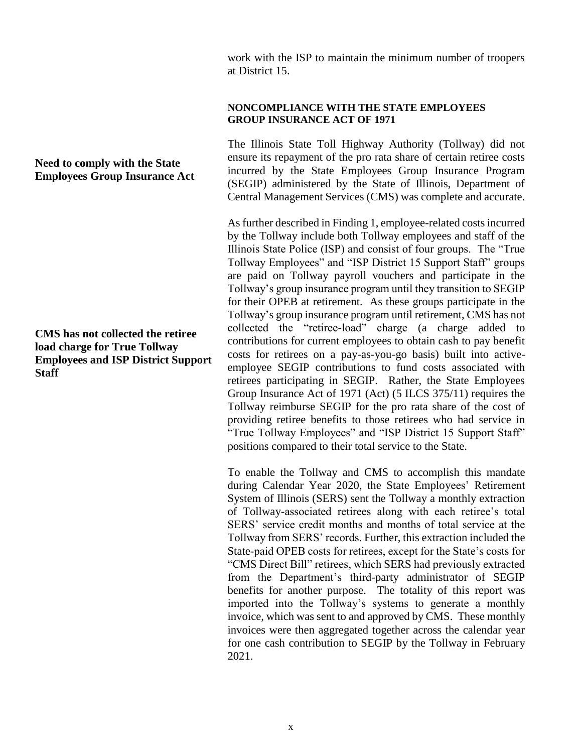work with the ISP to maintain the minimum number of troopers at District 15.

#### **NONCOMPLIANCE WITH THE STATE EMPLOYEES GROUP INSURANCE ACT OF 1971**

The Illinois State Toll Highway Authority (Tollway) did not ensure its repayment of the pro rata share of certain retiree costs incurred by the State Employees Group Insurance Program (SEGIP) administered by the State of Illinois, Department of Central Management Services (CMS) was complete and accurate.

As further described in Finding 1, employee-related costs incurred by the Tollway include both Tollway employees and staff of the Illinois State Police (ISP) and consist of four groups. The "True Tollway Employees" and "ISP District 15 Support Staff" groups are paid on Tollway payroll vouchers and participate in the Tollway's group insurance program until they transition to SEGIP for their OPEB at retirement. As these groups participate in the Tollway's group insurance program until retirement, CMS has not collected the "retiree-load" charge (a charge added to contributions for current employees to obtain cash to pay benefit costs for retirees on a pay-as-you-go basis) built into activeemployee SEGIP contributions to fund costs associated with retirees participating in SEGIP. Rather, the State Employees Group Insurance Act of 1971 (Act) (5 ILCS 375/11) requires the Tollway reimburse SEGIP for the pro rata share of the cost of providing retiree benefits to those retirees who had service in "True Tollway Employees" and "ISP District 15 Support Staff" positions compared to their total service to the State.

To enable the Tollway and CMS to accomplish this mandate during Calendar Year 2020, the State Employees' Retirement System of Illinois (SERS) sent the Tollway a monthly extraction of Tollway-associated retirees along with each retiree's total SERS' service credit months and months of total service at the Tollway from SERS' records. Further, this extraction included the State-paid OPEB costs for retirees, except for the State's costs for "CMS Direct Bill" retirees, which SERS had previously extracted from the Department's third-party administrator of SEGIP benefits for another purpose. The totality of this report was imported into the Tollway's systems to generate a monthly invoice, which was sent to and approved by CMS. These monthly invoices were then aggregated together across the calendar year for one cash contribution to SEGIP by the Tollway in February 2021.

# **Need to comply with the State Employees Group Insurance Act**

**CMS has not collected the retiree load charge for True Tollway Employees and ISP District Support Staff**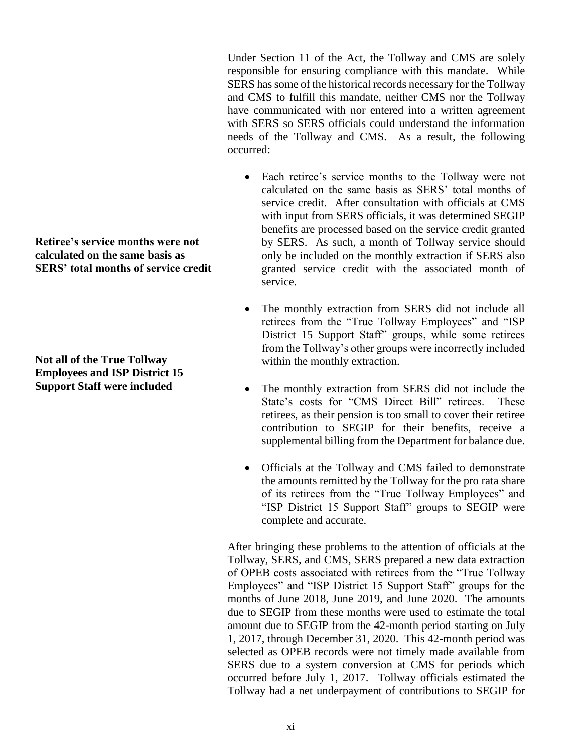Under Section 11 of the Act, the Tollway and CMS are solely responsible for ensuring compliance with this mandate. While SERS has some of the historical records necessary for the Tollway and CMS to fulfill this mandate, neither CMS nor the Tollway have communicated with nor entered into a written agreement with SERS so SERS officials could understand the information needs of the Tollway and CMS. As a result, the following occurred:

- Each retiree's service months to the Tollway were not calculated on the same basis as SERS' total months of service credit. After consultation with officials at CMS with input from SERS officials, it was determined SEGIP benefits are processed based on the service credit granted by SERS. As such, a month of Tollway service should only be included on the monthly extraction if SERS also granted service credit with the associated month of service.
- The monthly extraction from SERS did not include all retirees from the "True Tollway Employees" and "ISP District 15 Support Staff" groups, while some retirees from the Tollway's other groups were incorrectly included within the monthly extraction.
- The monthly extraction from SERS did not include the State's costs for "CMS Direct Bill" retirees. These retirees, as their pension is too small to cover their retiree contribution to SEGIP for their benefits, receive a supplemental billing from the Department for balance due.
- Officials at the Tollway and CMS failed to demonstrate the amounts remitted by the Tollway for the pro rata share of its retirees from the "True Tollway Employees" and "ISP District 15 Support Staff" groups to SEGIP were complete and accurate.

After bringing these problems to the attention of officials at the Tollway, SERS, and CMS, SERS prepared a new data extraction of OPEB costs associated with retirees from the "True Tollway Employees" and "ISP District 15 Support Staff" groups for the months of June 2018, June 2019, and June 2020. The amounts due to SEGIP from these months were used to estimate the total amount due to SEGIP from the 42-month period starting on July 1, 2017, through December 31, 2020. This 42-month period was selected as OPEB records were not timely made available from SERS due to a system conversion at CMS for periods which occurred before July 1, 2017. Tollway officials estimated the Tollway had a net underpayment of contributions to SEGIP for

**Retiree's service months were not calculated on the same basis as SERS' total months of service credit**

**Not all of the True Tollway Employees and ISP District 15 Support Staff were included**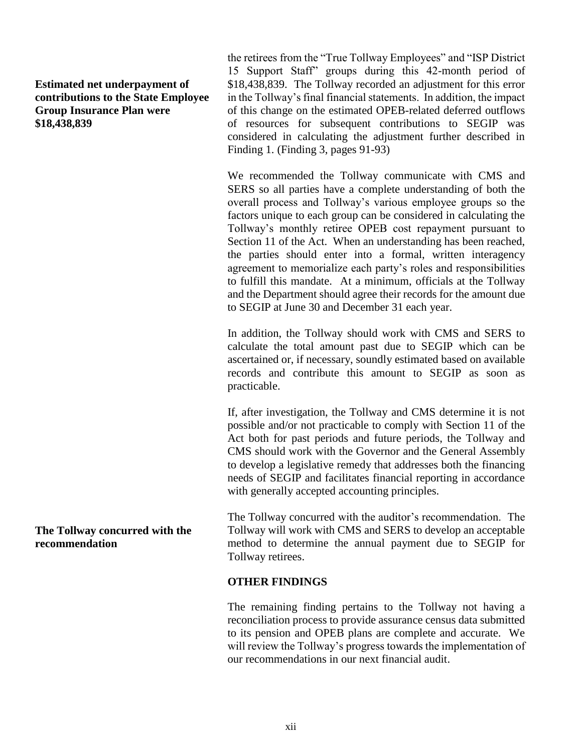### **Estimated net underpayment of contributions to the State Employee Group Insurance Plan were \$18,438,839**

the retirees from the "True Tollway Employees" and "ISP District 15 Support Staff" groups during this 42-month period of \$18,438,839. The Tollway recorded an adjustment for this error in the Tollway's final financial statements. In addition, the impact of this change on the estimated OPEB-related deferred outflows of resources for subsequent contributions to SEGIP was considered in calculating the adjustment further described in Finding 1. (Finding 3, pages 91-93)

We recommended the Tollway communicate with CMS and SERS so all parties have a complete understanding of both the overall process and Tollway's various employee groups so the factors unique to each group can be considered in calculating the Tollway's monthly retiree OPEB cost repayment pursuant to Section 11 of the Act. When an understanding has been reached, the parties should enter into a formal, written interagency agreement to memorialize each party's roles and responsibilities to fulfill this mandate. At a minimum, officials at the Tollway and the Department should agree their records for the amount due to SEGIP at June 30 and December 31 each year.

In addition, the Tollway should work with CMS and SERS to calculate the total amount past due to SEGIP which can be ascertained or, if necessary, soundly estimated based on available records and contribute this amount to SEGIP as soon as practicable.

If, after investigation, the Tollway and CMS determine it is not possible and/or not practicable to comply with Section 11 of the Act both for past periods and future periods, the Tollway and CMS should work with the Governor and the General Assembly to develop a legislative remedy that addresses both the financing needs of SEGIP and facilitates financial reporting in accordance with generally accepted accounting principles.

The Tollway concurred with the auditor's recommendation. The Tollway will work with CMS and SERS to develop an acceptable method to determine the annual payment due to SEGIP for Tollway retirees.

#### **OTHER FINDINGS**

The remaining finding pertains to the Tollway not having a reconciliation process to provide assurance census data submitted to its pension and OPEB plans are complete and accurate. We will review the Tollway's progress towards the implementation of our recommendations in our next financial audit.

**The Tollway concurred with the recommendation**